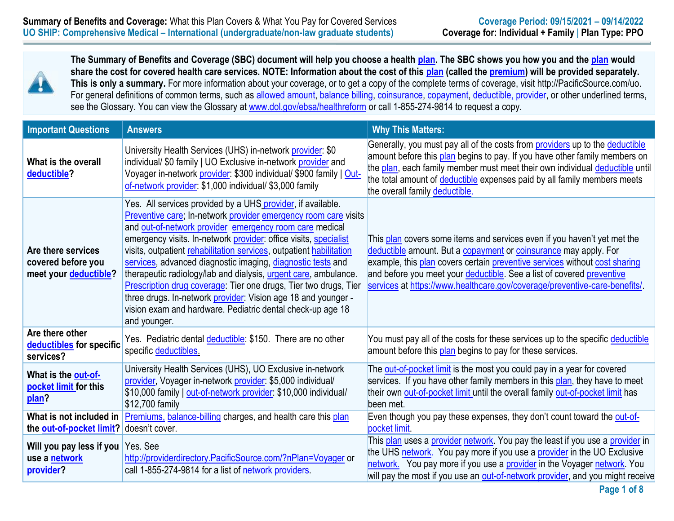

**The Summary of Benefits and Coverage (SBC) document will help you choose a health [plan.](https://www.healthcare.gov/sbc-glossary/#plan) The SBC shows you how you and the [plan](https://www.healthcare.gov/sbc-glossary/#plan) would share the cost for covered health care services. NOTE: Information about the cost of this [plan](https://www.healthcare.gov/sbc-glossary/#plan) (called the [premium\)](https://www.healthcare.gov/sbc-glossary/#premium) will be provided separately. This is only a summary.** For more information about your coverage, or to get a copy of the complete terms of coverage, visit http://PacificSource.com/uo. For general definitions of common terms, such as [allowed amount,](https://www.healthcare.gov/sbc-glossary/#allowed-amount) [balance billing,](https://www.healthcare.gov/sbc-glossary/#balance-billing) [coinsurance,](https://www.healthcare.gov/sbc-glossary/#coinsurance) [copayment,](https://www.healthcare.gov/sbc-glossary/#copayment) [deductible,](https://www.healthcare.gov/sbc-glossary/#deductible) [provider,](https://www.healthcare.gov/sbc-glossary/#deductible) or other underlined terms, see the Glossary. You can view the Glossary at [www.dol.gov/ebsa/healthreform](http://www.dol.gov/ebsa/healthreform) or call 1-855-274-9814 to request a copy.

| <b>Important Questions</b>                                         | <b>Answers</b>                                                                                                                                                                                                                                                                                                                                                                                                                                                                                                                                                                                                                                                                            | <b>Why This Matters:</b>                                                                                                                                                                                                                                                                                                                                                          |
|--------------------------------------------------------------------|-------------------------------------------------------------------------------------------------------------------------------------------------------------------------------------------------------------------------------------------------------------------------------------------------------------------------------------------------------------------------------------------------------------------------------------------------------------------------------------------------------------------------------------------------------------------------------------------------------------------------------------------------------------------------------------------|-----------------------------------------------------------------------------------------------------------------------------------------------------------------------------------------------------------------------------------------------------------------------------------------------------------------------------------------------------------------------------------|
| What is the overall<br>deductible?                                 | University Health Services (UHS) in-network provider: \$0<br>individual/ \$0 family   UO Exclusive in-network provider and<br>Voyager in-network provider: \$300 individual/ \$900 family   Out-<br>of-network provider: \$1,000 individual/ \$3,000 family                                                                                                                                                                                                                                                                                                                                                                                                                               | Generally, you must pay all of the costs from providers up to the deductible<br>amount before this plan begins to pay. If you have other family members on<br>the plan, each family member must meet their own individual deductible until<br>the total amount of deductible expenses paid by all family members meets<br>the overall family deductible.                          |
| Are there services<br>covered before you<br>meet your deductible?  | Yes. All services provided by a UHS provider, if available.<br>Preventive care; In-network provider emergency room care visits<br>and out-of-network provider emergency room care medical<br>emergency visits. In-network provider: office visits, specialist<br>visits, outpatient rehabilitation services, outpatient habilitation<br>services, advanced diagnostic imaging, diagnostic tests and<br>therapeutic radiology/lab and dialysis, urgent care, ambulance.<br>Prescription drug coverage: Tier one drugs, Tier two drugs, Tier<br>three drugs. In-network provider: Vision age 18 and younger -<br>vision exam and hardware. Pediatric dental check-up age 18<br>and younger. | This plan covers some items and services even if you haven't yet met the<br>deductible amount. But a copayment or coinsurance may apply. For<br>example, this plan covers certain preventive services without cost sharing<br>and before you meet your deductible. See a list of covered preventive<br>services at https://www.healthcare.gov/coverage/preventive-care-benefits/. |
| Are there other<br>deductibles for specific<br>services?           | Yes. Pediatric dental <i>deductible</i> : \$150. There are no other<br>specific deductibles.                                                                                                                                                                                                                                                                                                                                                                                                                                                                                                                                                                                              | You must pay all of the costs for these services up to the specific deductible<br>amount before this plan begins to pay for these services.                                                                                                                                                                                                                                       |
| What is the out-of-<br>pocket limit for this<br>plan?              | University Health Services (UHS), UO Exclusive in-network<br>provider, Voyager in-network provider: \$5,000 individual/<br>\$10,000 family   out-of-network provider: \$10,000 individual/<br>\$12,700 family                                                                                                                                                                                                                                                                                                                                                                                                                                                                             | The out-of-pocket limit is the most you could pay in a year for covered<br>services. If you have other family members in this plan, they have to meet<br>their own out-of-pocket limit until the overall family out-of-pocket limit has<br>been met.                                                                                                                              |
| What is not included in<br>the out-of-pocket limit? doesn't cover. | Premiums, balance-billing charges, and health care this plan                                                                                                                                                                                                                                                                                                                                                                                                                                                                                                                                                                                                                              | Even though you pay these expenses, they don't count toward the out-of-<br>pocket limit.                                                                                                                                                                                                                                                                                          |
| Will you pay less if you Yes. See<br>use a network<br>provider?    | http://providerdirectory.PacificSource.com/?nPlan=Voyager or<br>call 1-855-274-9814 for a list of network providers.                                                                                                                                                                                                                                                                                                                                                                                                                                                                                                                                                                      | This plan uses a provider network. You pay the least if you use a provider in<br>the UHS network. You pay more if you use a provider in the UO Exclusive<br>network. You pay more if you use a provider in the Voyager network. You<br>will pay the most if you use an out-of-network provider, and you might receive                                                             |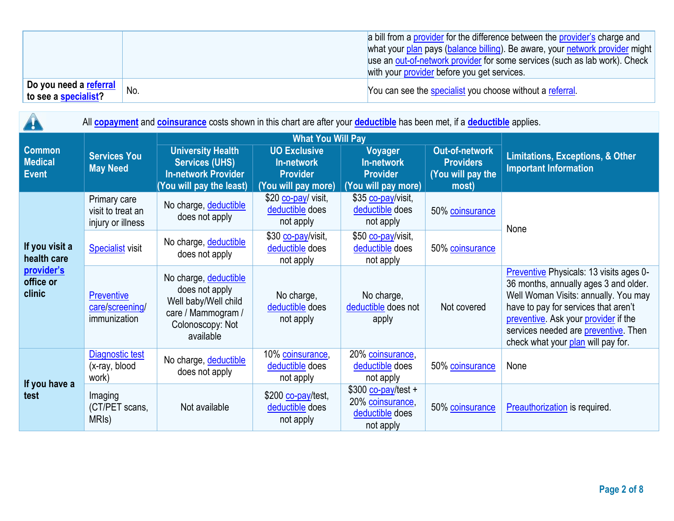|                                                |     | a bill from a provider for the difference between the provider's charge and<br>what your plan pays (balance billing). Be aware, your network provider might<br>use an out-of-network provider for some services (such as lab work). Check<br>with your provider before you get services. |
|------------------------------------------------|-----|------------------------------------------------------------------------------------------------------------------------------------------------------------------------------------------------------------------------------------------------------------------------------------------|
| po you need a referral<br>to see a specialist? | No. | You can see the specialist you choose without a referral.                                                                                                                                                                                                                                |

 $\overline{\phantom{a}}$ 

| All <b>copayment</b> and <b>coinsurance</b> costs shown in this chart are after your <b>deductible</b> has been met, if a <b>deductible</b> applies.<br>Ţ. |                                                        |                                                                                                                        |                                                                                    |                                                                         |                                                                  |                                                                                                                                                                                                                                                                                        |  |  |
|------------------------------------------------------------------------------------------------------------------------------------------------------------|--------------------------------------------------------|------------------------------------------------------------------------------------------------------------------------|------------------------------------------------------------------------------------|-------------------------------------------------------------------------|------------------------------------------------------------------|----------------------------------------------------------------------------------------------------------------------------------------------------------------------------------------------------------------------------------------------------------------------------------------|--|--|
|                                                                                                                                                            |                                                        |                                                                                                                        |                                                                                    |                                                                         |                                                                  |                                                                                                                                                                                                                                                                                        |  |  |
| <b>Common</b><br><b>Medical</b><br><b>Event</b>                                                                                                            | <b>Services You</b><br><b>May Need</b>                 | <b>University Health</b><br><b>Services (UHS)</b><br><b>In-network Provider</b><br>You will pay the least)             | <b>UO Exclusive</b><br><b>In-network</b><br><b>Provider</b><br>(You will pay more) | Voyager<br>In-network<br><b>Provider</b><br>(You will pay more)         | Out-of-network<br><b>Providers</b><br>(You will pay the<br>most) | <b>Limitations, Exceptions, &amp; Other</b><br><b>Important Information</b>                                                                                                                                                                                                            |  |  |
|                                                                                                                                                            | Primary care<br>visit to treat an<br>injury or illness | No charge, deductible<br>does not apply                                                                                | \$20 co-pay/ visit,<br>deductible does<br>not apply                                | \$35 co-pay/visit,<br>deductible does<br>not apply                      | 50% coinsurance                                                  | None                                                                                                                                                                                                                                                                                   |  |  |
| If you visit a<br>health care                                                                                                                              | <b>Specialist</b> visit                                | No charge, deductible<br>does not apply                                                                                | \$30 co-pay/visit,<br>deductible does<br>not apply                                 | \$50 co-pay/visit,<br>deductible does<br>not apply                      | 50% coinsurance                                                  |                                                                                                                                                                                                                                                                                        |  |  |
| provider's<br>office or<br>clinic                                                                                                                          | <b>Preventive</b><br>care/screening/<br>immunization   | No charge, deductible<br>does not apply<br>Well baby/Well child<br>care / Mammogram /<br>Colonoscopy: Not<br>available | No charge,<br>deductible does<br>not apply                                         | No charge,<br>deductible does not<br>apply                              | Not covered                                                      | Preventive Physicals: 13 visits ages 0-<br>36 months, annually ages 3 and older.<br>Well Woman Visits: annually. You may<br>have to pay for services that aren't<br>preventive. Ask your provider if the<br>services needed are preventive. Then<br>check what your plan will pay for. |  |  |
| If you have a                                                                                                                                              | Diagnostic test<br>(x-ray, blood<br>work)              | No charge, deductible<br>does not apply                                                                                | 10% coinsurance,<br>deductible does<br>not apply                                   | 20% coinsurance,<br>deductible does<br>not apply                        | 50% coinsurance                                                  | None                                                                                                                                                                                                                                                                                   |  |  |
| test                                                                                                                                                       | Imaging<br>(CT/PET scans,<br>MRI <sub>s</sub> )        | Not available                                                                                                          | \$200 co-pay/test,<br>deductible does<br>not apply                                 | \$300 co-pay/test +<br>20% coinsurance,<br>deductible does<br>not apply | 50% coinsurance                                                  | Preauthorization is required.                                                                                                                                                                                                                                                          |  |  |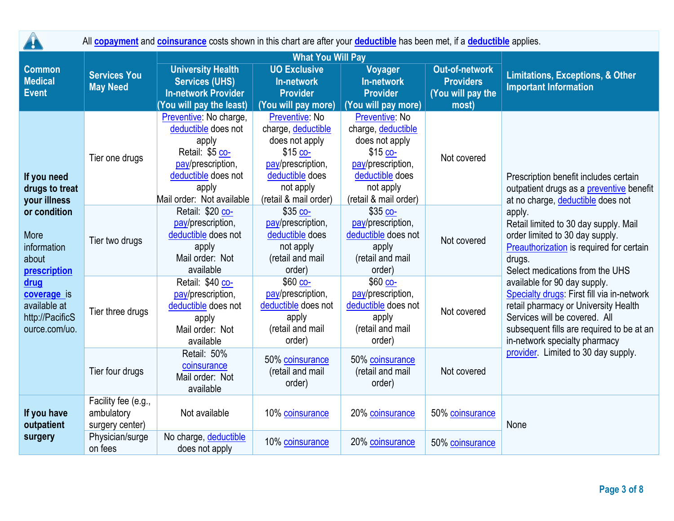| <b>A</b>                                                                | All <b>copayment</b> and <b>coinsurance</b> costs shown in this chart are after your <b>deductible</b> has been met, if a <b>deductible</b> applies. |                                                                                                                                                             |                                                                                                                                                   |                                                                                                                                                   |                                                                |                                                                                                                                                                                                                                   |  |  |  |
|-------------------------------------------------------------------------|------------------------------------------------------------------------------------------------------------------------------------------------------|-------------------------------------------------------------------------------------------------------------------------------------------------------------|---------------------------------------------------------------------------------------------------------------------------------------------------|---------------------------------------------------------------------------------------------------------------------------------------------------|----------------------------------------------------------------|-----------------------------------------------------------------------------------------------------------------------------------------------------------------------------------------------------------------------------------|--|--|--|
|                                                                         | <b>Services You</b><br><b>May Need</b>                                                                                                               |                                                                                                                                                             |                                                                                                                                                   |                                                                                                                                                   |                                                                |                                                                                                                                                                                                                                   |  |  |  |
| <b>Common</b><br><b>Medical</b><br><b>Event</b>                         |                                                                                                                                                      | <b>University Health</b><br><b>Services (UHS)</b><br><b>In-network Provider</b>                                                                             | <b>UO Exclusive</b><br>In-network<br><b>Provider</b>                                                                                              | Voyager<br><b>In-network</b><br><b>Provider</b>                                                                                                   | <b>Out-of-network</b><br><b>Providers</b><br>(You will pay the | <b>Limitations, Exceptions, &amp; Other</b><br><b>Important Information</b>                                                                                                                                                       |  |  |  |
|                                                                         |                                                                                                                                                      | You will pay the least)                                                                                                                                     | (You will pay more)                                                                                                                               | (You will pay more)                                                                                                                               | most)                                                          |                                                                                                                                                                                                                                   |  |  |  |
| If you need<br>drugs to treat<br>your illness                           | Tier one drugs                                                                                                                                       | Preventive: No charge,<br>deductible does not<br>apply<br>Retail: \$5 co-<br>pay/prescription,<br>deductible does not<br>apply<br>Mail order: Not available | Preventive: No<br>charge, deductible<br>does not apply<br>$$15$ co-<br>pay/prescription,<br>deductible does<br>not apply<br>(retail & mail order) | Preventive: No<br>charge, deductible<br>does not apply<br>$$15$ co-<br>pay/prescription,<br>deductible does<br>not apply<br>(retail & mail order) | Not covered                                                    | Prescription benefit includes certain<br>outpatient drugs as a preventive benefit<br>at no charge, deductible does not                                                                                                            |  |  |  |
| or condition<br>More<br>information<br>about<br>prescription            | Tier two drugs                                                                                                                                       | Retail: \$20 co-<br>pay/prescription,<br>deductible does not<br>apply<br>Mail order: Not<br>available                                                       | $$35$ $^{00-}$<br>pay/prescription,<br>deductible does<br>not apply<br>(retail and mail<br>order)                                                 | \$35 co-<br>pay/prescription,<br>deductible does not<br>apply<br>(retail and mail<br>order)                                                       | Not covered                                                    | apply.<br>Retail limited to 30 day supply. Mail<br>order limited to 30 day supply.<br>Preauthorization is required for certain<br>drugs.<br>Select medications from the UHS                                                       |  |  |  |
| drug<br>coverage is<br>available at<br>http://PacificS<br>ource.com/uo. | Tier three drugs                                                                                                                                     | Retail: \$40 co-<br>pay/prescription,<br>deductible does not<br>apply<br>Mail order: Not<br>available                                                       | \$60 co-<br>pay/prescription,<br>deductible does not<br>apply<br>(retail and mail<br>order)                                                       | $$60$ co-<br>pay/prescription,<br>deductible does not<br>apply<br>(retail and mail<br>order)                                                      | Not covered                                                    | available for 90 day supply.<br>Specialty drugs: First fill via in-network<br>retail pharmacy or University Health<br>Services will be covered. All<br>subsequent fills are required to be at an<br>in-network specialty pharmacy |  |  |  |
|                                                                         | Tier four drugs                                                                                                                                      | Retail: 50%<br>coinsurance<br>Mail order: Not<br>available                                                                                                  | 50% coinsurance<br>(retail and mail<br>order)                                                                                                     | 50% coinsurance<br>(retail and mail<br>order)                                                                                                     | Not covered                                                    | provider. Limited to 30 day supply.                                                                                                                                                                                               |  |  |  |
| If you have<br>outpatient                                               | Facility fee (e.g.,<br>ambulatory<br>surgery center)                                                                                                 | Not available                                                                                                                                               | 10% coinsurance                                                                                                                                   | 20% coinsurance                                                                                                                                   | 50% coinsurance                                                | None                                                                                                                                                                                                                              |  |  |  |
| surgery                                                                 | Physician/surge<br>on fees                                                                                                                           | No charge, deductible<br>does not apply                                                                                                                     | 10% coinsurance                                                                                                                                   | 20% coinsurance                                                                                                                                   | 50% coinsurance                                                |                                                                                                                                                                                                                                   |  |  |  |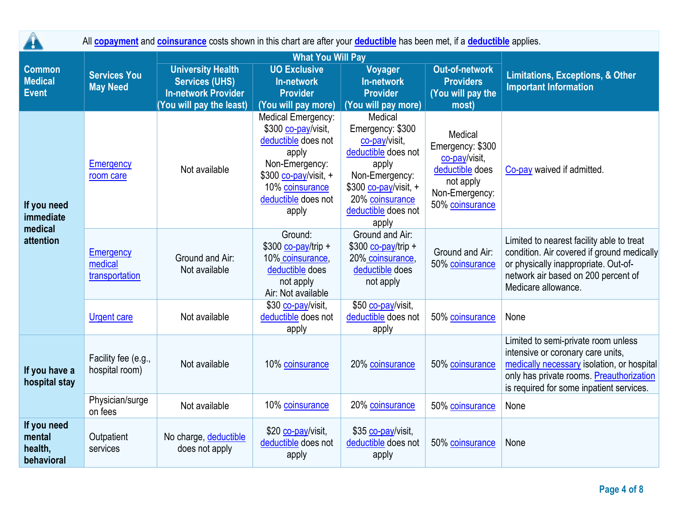|                                                 | All <b>copayment</b> and <b>coinsurance</b> costs shown in this chart are after your <b>deductible</b> has been met, if a <b>deductible</b> applies. |                                                                                 |                                                                                                                                                                         |                                                                                                                                                                            |                                                                                                                   |                                                                                                                                                                                                                |  |  |
|-------------------------------------------------|------------------------------------------------------------------------------------------------------------------------------------------------------|---------------------------------------------------------------------------------|-------------------------------------------------------------------------------------------------------------------------------------------------------------------------|----------------------------------------------------------------------------------------------------------------------------------------------------------------------------|-------------------------------------------------------------------------------------------------------------------|----------------------------------------------------------------------------------------------------------------------------------------------------------------------------------------------------------------|--|--|
|                                                 |                                                                                                                                                      |                                                                                 | <b>What You Will Pay</b>                                                                                                                                                |                                                                                                                                                                            |                                                                                                                   |                                                                                                                                                                                                                |  |  |
| <b>Common</b><br><b>Medical</b><br><b>Event</b> | <b>Services You</b><br><b>May Need</b>                                                                                                               | <b>University Health</b><br><b>Services (UHS)</b><br><b>In-network Provider</b> | <b>UO Exclusive</b><br><b>Voyager</b><br>In-network<br>In-network<br><b>Provider</b><br><b>Provider</b>                                                                 |                                                                                                                                                                            | <b>Out-of-network</b><br><b>Providers</b><br>(You will pay the                                                    | <b>Limitations, Exceptions, &amp; Other</b><br><b>Important Information</b>                                                                                                                                    |  |  |
|                                                 |                                                                                                                                                      | You will pay the least)                                                         | (You will pay more)                                                                                                                                                     | (You will pay more)                                                                                                                                                        | most)                                                                                                             |                                                                                                                                                                                                                |  |  |
| If you need<br>immediate                        | <b>Emergency</b><br>room care                                                                                                                        | Not available                                                                   | Medical Emergency:<br>\$300 co-pay/visit,<br>deductible does not<br>apply<br>Non-Emergency:<br>\$300 co-pay/visit, +<br>10% coinsurance<br>deductible does not<br>apply | Medical<br>Emergency: \$300<br>co-pay/visit,<br>deductible does not<br>apply<br>Non-Emergency:<br>\$300 co-pay/visit, +<br>20% coinsurance<br>deductible does not<br>apply | Medical<br>Emergency: \$300<br>co-pay/visit.<br>deductible does<br>not apply<br>Non-Emergency:<br>50% coinsurance | Co-pay waived if admitted.                                                                                                                                                                                     |  |  |
| medical<br>attention                            | Emergency<br>medical<br>transportation                                                                                                               | Ground and Air:<br>Not available                                                | Ground:<br>$$300$ co-pay/trip +<br>10% coinsurance,<br>deductible does<br>not apply<br>Air: Not available                                                               | Ground and Air:<br>$$300$ co-pay/trip +<br>20% coinsurance,<br>deductible does<br>not apply                                                                                | Ground and Air:<br>50% coinsurance                                                                                | Limited to nearest facility able to treat<br>condition. Air covered if ground medically<br>or physically inappropriate. Out-of-<br>network air based on 200 percent of<br>Medicare allowance.                  |  |  |
|                                                 | <b>Urgent care</b>                                                                                                                                   | Not available                                                                   | \$30 co-pay/visit,<br>deductible does not<br>apply                                                                                                                      | \$50 co-pay/visit,<br>deductible does not<br>apply                                                                                                                         | 50% coinsurance                                                                                                   | None                                                                                                                                                                                                           |  |  |
| If you have a<br>hospital stay                  | Facility fee (e.g.,<br>hospital room)                                                                                                                | Not available                                                                   | 10% coinsurance                                                                                                                                                         | 20% coinsurance                                                                                                                                                            | 50% coinsurance                                                                                                   | Limited to semi-private room unless<br>intensive or coronary care units,<br>medically necessary isolation, or hospital<br>only has private rooms. Preauthorization<br>is required for some inpatient services. |  |  |
|                                                 | Physician/surge<br>on fees                                                                                                                           | Not available                                                                   | 10% coinsurance                                                                                                                                                         | 20% coinsurance                                                                                                                                                            | 50% coinsurance                                                                                                   | None                                                                                                                                                                                                           |  |  |
| If you need<br>mental<br>health,<br>behavioral  | Outpatient<br>services                                                                                                                               | No charge, deductible<br>does not apply                                         | \$20 co-pay/visit,<br>deductible does not<br>apply                                                                                                                      | \$35 co-pay/visit,<br>deductible does not<br>apply                                                                                                                         | 50% coinsurance                                                                                                   | None                                                                                                                                                                                                           |  |  |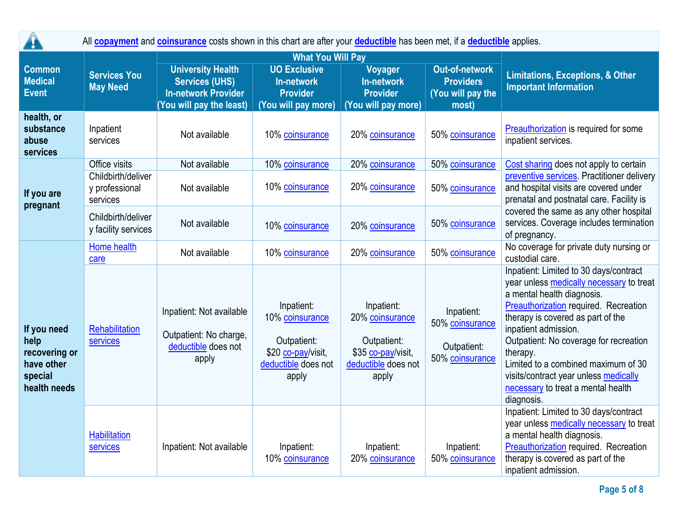| $\mathbf{r}$                                                                  | All <b>copayment</b> and <b>coinsurance</b> costs shown in this chart are after your <b>deductible</b> has been met, if a <b>deductible</b> applies. |                                                                                                             |                                                                                                    |                                                                                                    |                                                                         |                                                                                                                                                                                                                                                                                                                                                                                                                  |  |  |  |
|-------------------------------------------------------------------------------|------------------------------------------------------------------------------------------------------------------------------------------------------|-------------------------------------------------------------------------------------------------------------|----------------------------------------------------------------------------------------------------|----------------------------------------------------------------------------------------------------|-------------------------------------------------------------------------|------------------------------------------------------------------------------------------------------------------------------------------------------------------------------------------------------------------------------------------------------------------------------------------------------------------------------------------------------------------------------------------------------------------|--|--|--|
|                                                                               |                                                                                                                                                      |                                                                                                             | <b>What You Will Pay</b>                                                                           |                                                                                                    |                                                                         |                                                                                                                                                                                                                                                                                                                                                                                                                  |  |  |  |
| <b>Common</b><br><b>Medical</b><br><b>Event</b>                               | <b>Services You</b><br><b>May Need</b>                                                                                                               | <b>University Health</b><br><b>Services (UHS)</b><br><b>In-network Provider</b><br>(You will pay the least) | <b>UO Exclusive</b><br><b>In-network</b><br><b>Provider</b><br>(You will pay more)                 | Voyager<br><b>In-network</b><br><b>Provider</b><br>(You will pay more)                             | <b>Out-of-network</b><br><b>Providers</b><br>(You will pay the<br>most) | <b>Limitations, Exceptions, &amp; Other</b><br><b>Important Information</b>                                                                                                                                                                                                                                                                                                                                      |  |  |  |
| health, or<br>substance<br>abuse<br>services                                  | Inpatient<br>services                                                                                                                                | Not available                                                                                               | 10% coinsurance                                                                                    | 20% coinsurance                                                                                    | 50% coinsurance                                                         | Preauthorization is required for some<br>inpatient services.                                                                                                                                                                                                                                                                                                                                                     |  |  |  |
|                                                                               | Office visits                                                                                                                                        | Not available                                                                                               | 10% coinsurance                                                                                    | 20% coinsurance                                                                                    | 50% coinsurance                                                         | Cost sharing does not apply to certain                                                                                                                                                                                                                                                                                                                                                                           |  |  |  |
| If you are<br>pregnant                                                        | Childbirth/deliver<br>y professional<br>services                                                                                                     | Not available                                                                                               | 10% coinsurance                                                                                    | 20% coinsurance                                                                                    | 50% coinsurance                                                         | preventive services. Practitioner delivery<br>and hospital visits are covered under<br>prenatal and postnatal care. Facility is                                                                                                                                                                                                                                                                                  |  |  |  |
|                                                                               | Childbirth/deliver<br>y facility services                                                                                                            | Not available                                                                                               | 10% coinsurance                                                                                    | 20% coinsurance                                                                                    | 50% coinsurance                                                         | covered the same as any other hospital<br>services. Coverage includes termination<br>of pregnancy.                                                                                                                                                                                                                                                                                                               |  |  |  |
| If you need<br>help<br>recovering or<br>have other<br>special<br>health needs | Home health<br>care                                                                                                                                  | Not available                                                                                               | 10% coinsurance                                                                                    | 20% coinsurance                                                                                    | 50% coinsurance                                                         | No coverage for private duty nursing or<br>custodial care.                                                                                                                                                                                                                                                                                                                                                       |  |  |  |
|                                                                               | Rehabilitation<br>services                                                                                                                           | Inpatient: Not available<br>Outpatient: No charge,<br>deductible does not<br>apply                          | Inpatient:<br>10% coinsurance<br>Outpatient:<br>\$20 co-pay/visit,<br>deductible does not<br>apply | Inpatient:<br>20% coinsurance<br>Outpatient:<br>\$35 co-pay/visit,<br>deductible does not<br>apply | Inpatient:<br>50% coinsurance<br>Outpatient:<br>50% coinsurance         | Inpatient: Limited to 30 days/contract<br>year unless medically necessary to treat<br>a mental health diagnosis.<br>Preauthorization required. Recreation<br>therapy is covered as part of the<br>inpatient admission.<br>Outpatient: No coverage for recreation<br>therapy.<br>Limited to a combined maximum of 30<br>visits/contract year unless medically<br>necessary to treat a mental health<br>diagnosis. |  |  |  |
|                                                                               | <b>Habilitation</b><br>services                                                                                                                      | Inpatient: Not available                                                                                    | Inpatient:<br>10% coinsurance                                                                      | Inpatient:<br>20% coinsurance                                                                      | Inpatient:<br>50% coinsurance                                           | Inpatient: Limited to 30 days/contract<br>year unless medically necessary to treat<br>a mental health diagnosis.<br>Preauthorization required. Recreation<br>therapy is covered as part of the<br>inpatient admission.                                                                                                                                                                                           |  |  |  |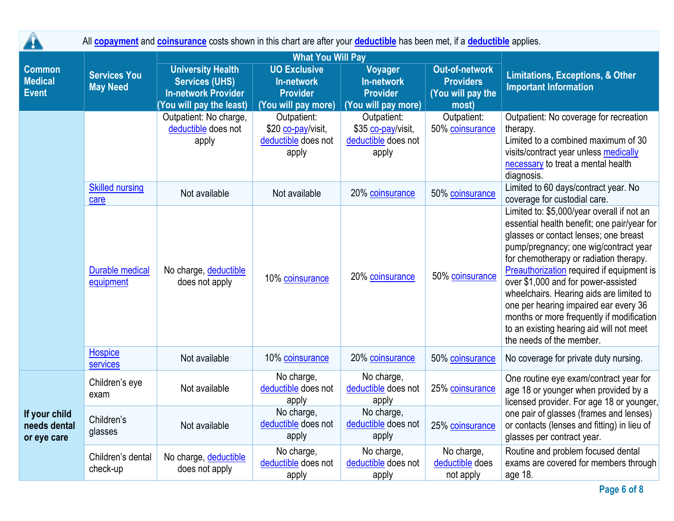|                                                 | All <b>copayment</b> and <b>coinsurance</b> costs shown in this chart are after your <b>deductible</b> has been met, if a <b>deductible</b> applies. |                                                                                                            |                                                                             |                                                                   |                                                                  |                                                                                                                                                                                                                                                                                                                                                                                                                                                                                                                            |  |  |
|-------------------------------------------------|------------------------------------------------------------------------------------------------------------------------------------------------------|------------------------------------------------------------------------------------------------------------|-----------------------------------------------------------------------------|-------------------------------------------------------------------|------------------------------------------------------------------|----------------------------------------------------------------------------------------------------------------------------------------------------------------------------------------------------------------------------------------------------------------------------------------------------------------------------------------------------------------------------------------------------------------------------------------------------------------------------------------------------------------------------|--|--|
|                                                 |                                                                                                                                                      |                                                                                                            | <b>What You Will Pay</b>                                                    |                                                                   |                                                                  |                                                                                                                                                                                                                                                                                                                                                                                                                                                                                                                            |  |  |
| <b>Common</b><br><b>Medical</b><br><b>Event</b> | <b>Services You</b><br><b>May Need</b>                                                                                                               | <b>University Health</b><br><b>Services (UHS)</b><br><b>In-network Provider</b><br>You will pay the least) | <b>UO Exclusive</b><br>In-network<br><b>Provider</b><br>(You will pay more) | Voyager<br>In-network<br><b>Provider</b><br>(You will pay more)   | Out-of-network<br><b>Providers</b><br>(You will pay the<br>most) | <b>Limitations, Exceptions, &amp; Other</b><br><b>Important Information</b>                                                                                                                                                                                                                                                                                                                                                                                                                                                |  |  |
|                                                 |                                                                                                                                                      | Outpatient: No charge,<br>deductible does not<br>apply                                                     | Outpatient:<br>\$20 co-pay/visit,<br>deductible does not<br>apply           | Outpatient:<br>\$35 co-pay/visit,<br>deductible does not<br>apply | Outpatient:<br>50% coinsurance                                   | Outpatient: No coverage for recreation<br>therapy.<br>Limited to a combined maximum of 30<br>visits/contract year unless medically<br>necessary to treat a mental health<br>diagnosis.                                                                                                                                                                                                                                                                                                                                     |  |  |
|                                                 | <b>Skilled nursing</b><br>care                                                                                                                       | Not available                                                                                              | Not available                                                               | 20% coinsurance                                                   | 50% coinsurance                                                  | Limited to 60 days/contract year. No<br>coverage for custodial care.                                                                                                                                                                                                                                                                                                                                                                                                                                                       |  |  |
|                                                 | <b>Durable medical</b><br>equipment                                                                                                                  | No charge, deductible<br>does not apply                                                                    | 10% coinsurance                                                             | 20% coinsurance                                                   | 50% coinsurance                                                  | Limited to: \$5,000/year overall if not an<br>essential health benefit; one pair/year for<br>glasses or contact lenses; one breast<br>pump/pregnancy; one wig/contract year<br>for chemotherapy or radiation therapy.<br><b>Preauthorization required if equipment is</b><br>over \$1,000 and for power-assisted<br>wheelchairs. Hearing aids are limited to<br>one per hearing impaired ear every 36<br>months or more frequently if modification<br>to an existing hearing aid will not meet<br>the needs of the member. |  |  |
|                                                 | Hospice<br>services                                                                                                                                  | Not available                                                                                              | 10% coinsurance                                                             | 20% coinsurance                                                   | 50% coinsurance                                                  | No coverage for private duty nursing.                                                                                                                                                                                                                                                                                                                                                                                                                                                                                      |  |  |
|                                                 | Children's eye<br>exam                                                                                                                               | Not available                                                                                              | No charge,<br>deductible does not<br>apply                                  | No charge,<br>deductible does not<br>apply                        | 25% coinsurance                                                  | One routine eye exam/contract year for<br>age 18 or younger when provided by a<br>licensed provider. For age 18 or younger,                                                                                                                                                                                                                                                                                                                                                                                                |  |  |
| If your child<br>needs dental<br>or eye care    | Children's<br>glasses                                                                                                                                | Not available                                                                                              | No charge,<br>deductible does not<br>apply                                  | No charge,<br>deductible does not<br>apply                        | 25% coinsurance                                                  | one pair of glasses (frames and lenses)<br>or contacts (lenses and fitting) in lieu of<br>glasses per contract year.                                                                                                                                                                                                                                                                                                                                                                                                       |  |  |
|                                                 | Children's dental<br>check-up                                                                                                                        | No charge, deductible<br>does not apply                                                                    | No charge,<br>deductible does not<br>apply                                  | No charge,<br>deductible does not<br>apply                        | No charge,<br>deductible does<br>not apply                       | Routine and problem focused dental<br>exams are covered for members through<br>age 18.                                                                                                                                                                                                                                                                                                                                                                                                                                     |  |  |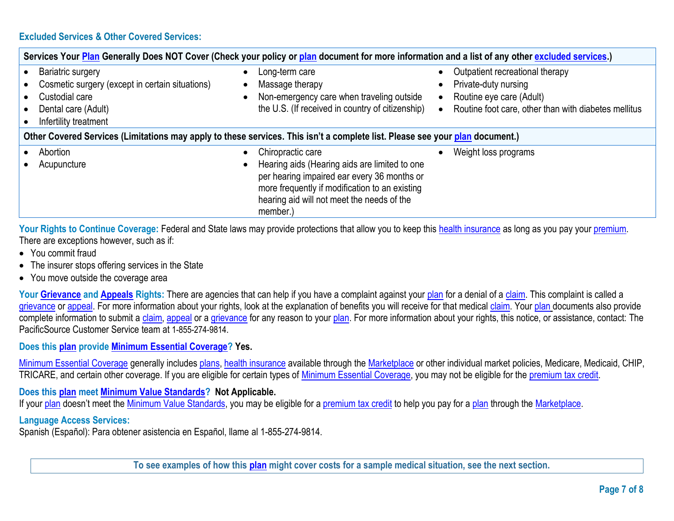|                                     | Services Your Plan Generally Does NOT Cover (Check your policy or plan document for more information and a list of any other excluded services.) |  |                                                                                                                                                                                                                               |  |                                                                                                                                             |  |  |
|-------------------------------------|--------------------------------------------------------------------------------------------------------------------------------------------------|--|-------------------------------------------------------------------------------------------------------------------------------------------------------------------------------------------------------------------------------|--|---------------------------------------------------------------------------------------------------------------------------------------------|--|--|
| $\bullet$<br>$\bullet$<br>$\bullet$ | <b>Bariatric surgery</b><br>Cosmetic surgery (except in certain situations)<br>Custodial care<br>Dental care (Adult)<br>Infertility treatment    |  | Long-term care<br>Massage therapy<br>Non-emergency care when traveling outside<br>the U.S. (If received in country of citizenship)                                                                                            |  | Outpatient recreational therapy<br>Private-duty nursing<br>Routine eye care (Adult)<br>Routine foot care, other than with diabetes mellitus |  |  |
|                                     | Other Covered Services (Limitations may apply to these services. This isn't a complete list. Please see your plan document.)                     |  |                                                                                                                                                                                                                               |  |                                                                                                                                             |  |  |
|                                     | Abortion<br>Acupuncture                                                                                                                          |  | Chiropractic care<br>Hearing aids (Hearing aids are limited to one<br>per hearing impaired ear every 36 months or<br>more frequently if modification to an existing<br>hearing aid will not meet the needs of the<br>member.) |  | Weight loss programs                                                                                                                        |  |  |

Your Rights to Continue Coverage: Federal and State laws may provide protections that allow you to keep this [health insurance](https://www.healthcare.gov/sbc-glossary/#health-insurance) as long as you pay your [premium.](https://www.healthcare.gov/sbc-glossary/#premium) There are exceptions however, such as if:

- You commit fraud
- The insurer stops offering services in the State
- You move outside the coverage area

Your **Grievance** and **Appeals** Rights: There are agencies that can help if you have a complaint against your [plan](https://www.healthcare.gov/sbc-glossary/#plan) for a denial of a [claim.](https://www.healthcare.gov/sbc-glossary/#claim) This complaint is called a [grievance](https://www.healthcare.gov/sbc-glossary/#grievance) or [appeal.](https://www.healthcare.gov/sbc-glossary/#appeal) For more information about your rights, look at the explanation of benefits you will receive for that medical [claim.](https://www.healthcare.gov/sbc-glossary/#claim) Your [plan](https://www.healthcare.gov/sbc-glossary/#plan) documents also provide complete information to submit a [claim,](https://www.healthcare.gov/sbc-glossary/#claim) [appeal](https://www.healthcare.gov/sbc-glossary/#appeal) or a [grievance](https://www.healthcare.gov/sbc-glossary/#grievance) for any reason to your [plan.](https://www.healthcare.gov/sbc-glossary/#plan) For more information about your rights, this notice, or assistance, contact: The PacificSource Customer Service team at 1-855-274-9814.

## **Does this [plan](https://www.healthcare.gov/sbc-glossary/#plan) provide [Minimum Essential Coverage?](https://www.healthcare.gov/sbc-glossary/#minimum-essential-coverage) Yes.**

[Minimum Essential Coverage](https://www.healthcare.gov/sbc-glossary/#minimum-essential-coverage) generally includes [plans](https://www.healthcare.gov/sbc-glossary/#plan)[, health insurance](https://www.healthcare.gov/sbc-glossary/#health-insurance) available through the [Marketplace](https://www.healthcare.gov/sbc-glossary/#marketplace) or other individual market policies, Medicare, Medicaid, CHIP, TRICARE, and certain other coverage. If you are eligible for certain types of [Minimum Essential Coverage,](https://www.healthcare.gov/sbc-glossary/#minimum-essential-coverage) you may not be eligible for the [premium tax credit.](https://www.healthcare.gov/sbc-glossary/#premium-tax-credits)

## **Does this [plan](https://www.healthcare.gov/sbc-glossary/#plan) meet [Minimum Value Standards?](https://www.healthcare.gov/sbc-glossary/#minimum-value-standard) Not Applicable.**

If your [plan](https://www.healthcare.gov/sbc-glossary/#plan) doesn't meet the [Minimum Value Standards,](https://www.healthcare.gov/sbc-glossary/#minimum-value-standard) you may be eligible for a [premium tax credit](https://www.healthcare.gov/sbc-glossary/#premium-tax-credits) to help you pay for a plan through the [Marketplace.](https://www.healthcare.gov/sbc-glossary/#marketplace)

## **Language Access Services:**

Spanish (Español): Para obtener asistencia en Español, llame al 1-855-274-9814.

**To see examples of how this [plan](https://www.healthcare.gov/sbc-glossary/#plan) might cover costs for a sample medical situation, see the next section.**